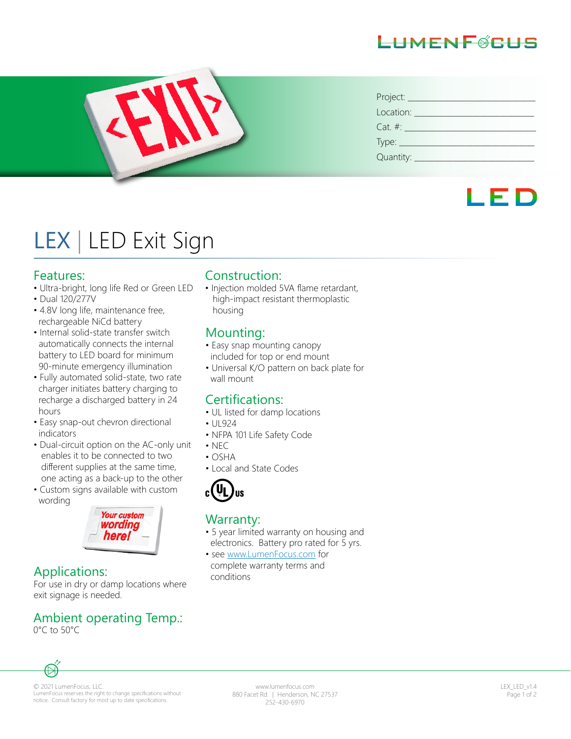### HMFNF@CHS



| Project:       |
|----------------|
| Location:      |
| $Cat. \#:$     |
| $Type:$ $\_\_$ |
| Quantity: ____ |

## LED

# LEX | LED Exit Sign

#### Features:

- Ultra-bright, long life Red or Green LED
- Dual 120/277V
- 4.8V long life, maintenance free, rechargeable NiCd battery
- Internal solid-state transfer switch automatically connects the internal battery to LED board for minimum 90-minute emergency illumination
- Fully automated solid-state, two rate charger initiates battery charging to recharge a discharged battery in 24 hours
- Easy snap-out chevron directional indicators
- Dual-circuit option on the AC-only unit enables it to be connected to two different supplies at the same time, one acting as a back-up to the other
- Custom signs available with custom wording



#### Applications:

For use in dry or damp locations where exit signage is needed.

#### Ambient operating Temp.:

0°C to 50°C

#### Construction:

• Injection molded 5VA flame retardant, high-impact resistant thermoplastic housing

#### Mounting:

- Easy snap mounting canopy included for top or end mount
- Universal K/O pattern on back plate for wall mount

#### Certifications:

- UL listed for damp locations
- UL924
- NFPA 101 Life Safety Code
- NEC
- OSHA
- Local and State Codes



#### Warranty:

- 5 year limited warranty on housing and electronics. Battery pro rated for 5 yrs.
- see www.LumenFocus.com for complete warranty terms and conditions



© 2021 LumenFocus, LLC. LumenFocus reserves the right to change specifications without notice. Consult factory for most up to date specifications.

www.lumenfocus.com 880 Facet Rd. | Henderson, NC 27537 252-430-6970